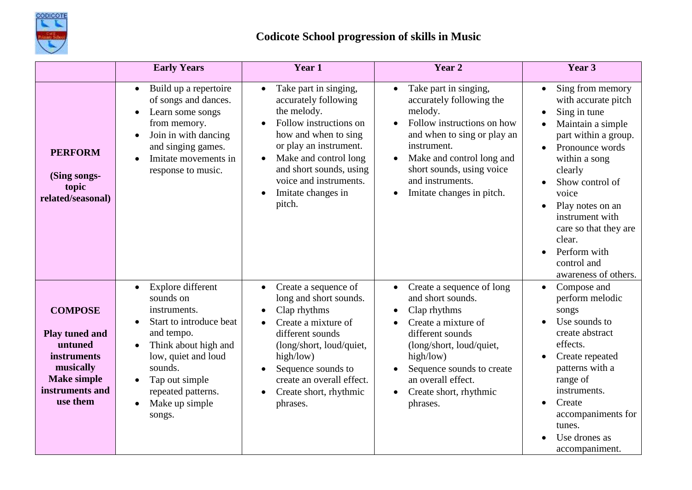

|                                                                                                                                            | <b>Early Years</b>                                                                                                                                                                                                                                                                     | Year 1                                                                                                                                                                                                                                                                           | Year 2                                                                                                                                                                                                                                                                        | Year 3                                                                                                                                                                                                                                                                                                                                                  |
|--------------------------------------------------------------------------------------------------------------------------------------------|----------------------------------------------------------------------------------------------------------------------------------------------------------------------------------------------------------------------------------------------------------------------------------------|----------------------------------------------------------------------------------------------------------------------------------------------------------------------------------------------------------------------------------------------------------------------------------|-------------------------------------------------------------------------------------------------------------------------------------------------------------------------------------------------------------------------------------------------------------------------------|---------------------------------------------------------------------------------------------------------------------------------------------------------------------------------------------------------------------------------------------------------------------------------------------------------------------------------------------------------|
| <b>PERFORM</b><br>(Sing songs-<br>topic<br>related/seasonal)                                                                               | Build up a repertoire<br>$\bullet$<br>of songs and dances.<br>Learn some songs<br>٠<br>from memory.<br>Join in with dancing<br>$\bullet$<br>and singing games.<br>Imitate movements in<br>$\bullet$<br>response to music.                                                              | Take part in singing,<br>$\bullet$<br>accurately following<br>the melody.<br>Follow instructions on<br>how and when to sing<br>or play an instrument.<br>Make and control long<br>$\bullet$<br>and short sounds, using<br>voice and instruments.<br>Imitate changes in<br>pitch. | Take part in singing,<br>$\bullet$<br>accurately following the<br>melody.<br>Follow instructions on how<br>and when to sing or play an<br>instrument.<br>Make and control long and<br>short sounds, using voice<br>and instruments.<br>Imitate changes in pitch.<br>$\bullet$ | Sing from memory<br>$\bullet$<br>with accurate pitch<br>Sing in tune<br>Maintain a simple<br>part within a group.<br>Pronounce words<br>$\bullet$<br>within a song<br>clearly<br>Show control of<br>voice<br>Play notes on an<br>$\bullet$<br>instrument with<br>care so that they are<br>clear.<br>Perform with<br>control and<br>awareness of others. |
| <b>COMPOSE</b><br><b>Play tuned and</b><br>untuned<br><i>instruments</i><br>musically<br><b>Make simple</b><br>instruments and<br>use them | Explore different<br>$\bullet$<br>sounds on<br>instruments.<br>Start to introduce beat<br>$\bullet$<br>and tempo.<br>Think about high and<br>$\bullet$<br>low, quiet and loud<br>sounds.<br>Tap out simple<br>$\bullet$<br>repeated patterns.<br>Make up simple<br>$\bullet$<br>songs. | Create a sequence of<br>$\bullet$<br>long and short sounds.<br>Clap rhythms<br>Create a mixture of<br>$\bullet$<br>different sounds<br>(long/short, loud/quiet,<br>high/low)<br>Sequence sounds to<br>create an overall effect.<br>Create short, rhythmic<br>phrases.            | Create a sequence of long<br>and short sounds.<br>Clap rhythms<br>$\bullet$<br>Create a mixture of<br>$\bullet$<br>different sounds<br>(long/short, loud/quiet,<br>high/low)<br>Sequence sounds to create<br>an overall effect.<br>Create short, rhythmic<br>phrases.         | Compose and<br>$\bullet$<br>perform melodic<br>songs<br>Use sounds to<br>create abstract<br>effects.<br>Create repeated<br>patterns with a<br>range of<br>instruments.<br>Create<br>accompaniments for<br>tunes.<br>Use drones as<br>accompaniment.                                                                                                     |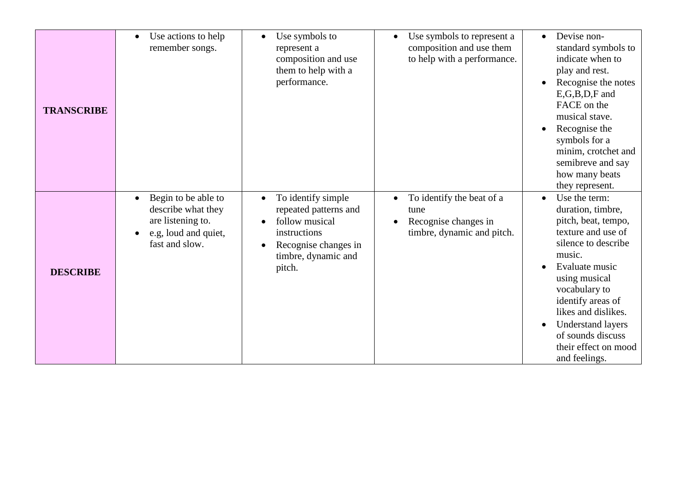| <b>TRANSCRIBE</b> | Use actions to help<br>$\bullet$<br>remember songs.                                                                                | Use symbols to<br>represent a<br>composition and use<br>them to help with a<br>performance.                                            | Use symbols to represent a<br>$\bullet$<br>composition and use them<br>to help with a performance.                | Devise non-<br>$\bullet$<br>standard symbols to<br>indicate when to<br>play and rest.<br>Recognise the notes<br>$E$ , $G$ , $B$ , $D$ , $F$ and<br>FACE on the<br>musical stave.<br>Recognise the<br>symbols for a<br>minim, crotchet and<br>semibreve and say<br>how many beats<br>they represent.                     |
|-------------------|------------------------------------------------------------------------------------------------------------------------------------|----------------------------------------------------------------------------------------------------------------------------------------|-------------------------------------------------------------------------------------------------------------------|-------------------------------------------------------------------------------------------------------------------------------------------------------------------------------------------------------------------------------------------------------------------------------------------------------------------------|
| <b>DESCRIBE</b>   | Begin to be able to<br>$\bullet$<br>describe what they<br>are listening to.<br>e.g, loud and quiet,<br>$\bullet$<br>fast and slow. | To identify simple<br>repeated patterns and<br>follow musical<br>instructions<br>Recognise changes in<br>timbre, dynamic and<br>pitch. | To identify the beat of a<br>$\bullet$<br>tune<br>Recognise changes in<br>$\bullet$<br>timbre, dynamic and pitch. | Use the term:<br>$\bullet$<br>duration, timbre,<br>pitch, beat, tempo,<br>texture and use of<br>silence to describe<br>music.<br>Evaluate music<br>using musical<br>vocabulary to<br>identify areas of<br>likes and dislikes.<br><b>Understand layers</b><br>of sounds discuss<br>their effect on mood<br>and feelings. |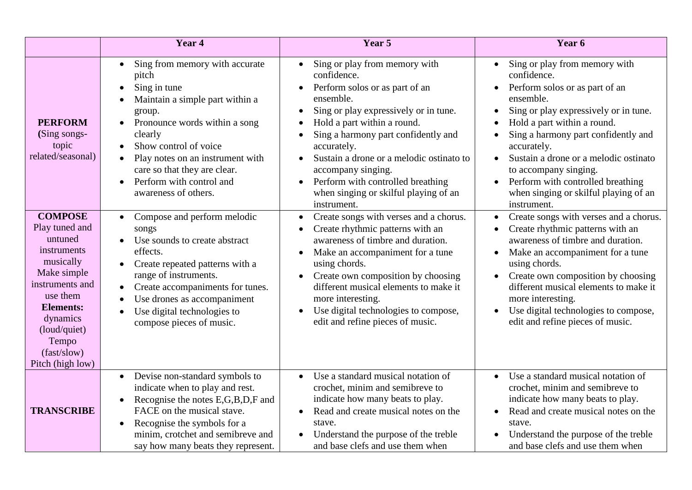|                                                                                                                                                                                                                   | Year 4                                                                                                                                                                                                                                                                                                                                                             | Year 5                                                                                                                                                                                                                                                                                                                                                                                                                          | Year 6                                                                                                                                                                                                                                                                                                                                                                                                                                                    |
|-------------------------------------------------------------------------------------------------------------------------------------------------------------------------------------------------------------------|--------------------------------------------------------------------------------------------------------------------------------------------------------------------------------------------------------------------------------------------------------------------------------------------------------------------------------------------------------------------|---------------------------------------------------------------------------------------------------------------------------------------------------------------------------------------------------------------------------------------------------------------------------------------------------------------------------------------------------------------------------------------------------------------------------------|-----------------------------------------------------------------------------------------------------------------------------------------------------------------------------------------------------------------------------------------------------------------------------------------------------------------------------------------------------------------------------------------------------------------------------------------------------------|
| <b>PERFORM</b><br>(Sing songs-<br>topic<br>related/seasonal)                                                                                                                                                      | Sing from memory with accurate<br>$\bullet$<br>pitch<br>Sing in tune<br>$\bullet$<br>Maintain a simple part within a<br>group.<br>Pronounce words within a song<br>$\bullet$<br>clearly<br>Show control of voice<br>Play notes on an instrument with<br>$\bullet$<br>care so that they are clear.<br>Perform with control and<br>$\bullet$<br>awareness of others. | Sing or play from memory with<br>$\bullet$<br>confidence.<br>Perform solos or as part of an<br>$\bullet$<br>ensemble.<br>Sing or play expressively or in tune.<br>Hold a part within a round.<br>Sing a harmony part confidently and<br>accurately.<br>Sustain a drone or a melodic ostinato to<br>accompany singing.<br>Perform with controlled breathing<br>$\bullet$<br>when singing or skilful playing of an<br>instrument. | Sing or play from memory with<br>$\bullet$<br>confidence.<br>Perform solos or as part of an<br>ensemble.<br>Sing or play expressively or in tune.<br>$\bullet$<br>Hold a part within a round.<br>$\bullet$<br>Sing a harmony part confidently and<br>accurately.<br>Sustain a drone or a melodic ostinato<br>$\bullet$<br>to accompany singing.<br>Perform with controlled breathing<br>$\bullet$<br>when singing or skilful playing of an<br>instrument. |
| <b>COMPOSE</b><br>Play tuned and<br>untuned<br>instruments<br>musically<br>Make simple<br>instruments and<br>use them<br><b>Elements:</b><br>dynamics<br>(loud/quiet)<br>Tempo<br>(fast/slow)<br>Pitch (high low) | Compose and perform melodic<br>songs<br>Use sounds to create abstract<br>effects.<br>Create repeated patterns with a<br>range of instruments.<br>Create accompaniments for tunes.<br>$\bullet$<br>Use drones as accompaniment<br>Use digital technologies to<br>compose pieces of music.                                                                           | Create songs with verses and a chorus.<br>$\bullet$<br>Create rhythmic patterns with an<br>awareness of timbre and duration.<br>Make an accompaniment for a tune<br>using chords.<br>Create own composition by choosing<br>$\bullet$<br>different musical elements to make it<br>more interesting.<br>Use digital technologies to compose,<br>$\bullet$<br>edit and refine pieces of music.                                     | Create songs with verses and a chorus.<br>$\bullet$<br>Create rhythmic patterns with an<br>awareness of timbre and duration.<br>Make an accompaniment for a tune<br>$\bullet$<br>using chords.<br>Create own composition by choosing<br>different musical elements to make it<br>more interesting.<br>Use digital technologies to compose,<br>edit and refine pieces of music.                                                                            |
| <b>TRANSCRIBE</b>                                                                                                                                                                                                 | Devise non-standard symbols to<br>$\bullet$<br>indicate when to play and rest.<br>Recognise the notes E,G,B,D,F and<br>$\bullet$<br>FACE on the musical stave.<br>Recognise the symbols for a<br>$\bullet$<br>minim, crotchet and semibreve and<br>say how many beats they represent.                                                                              | Use a standard musical notation of<br>$\bullet$<br>crochet, minim and semibreve to<br>indicate how many beats to play.<br>Read and create musical notes on the<br>$\bullet$<br>stave.<br>Understand the purpose of the treble<br>$\bullet$<br>and base clefs and use them when                                                                                                                                                  | Use a standard musical notation of<br>$\bullet$<br>crochet, minim and semibreve to<br>indicate how many beats to play.<br>Read and create musical notes on the<br>stave.<br>Understand the purpose of the treble<br>and base clefs and use them when                                                                                                                                                                                                      |